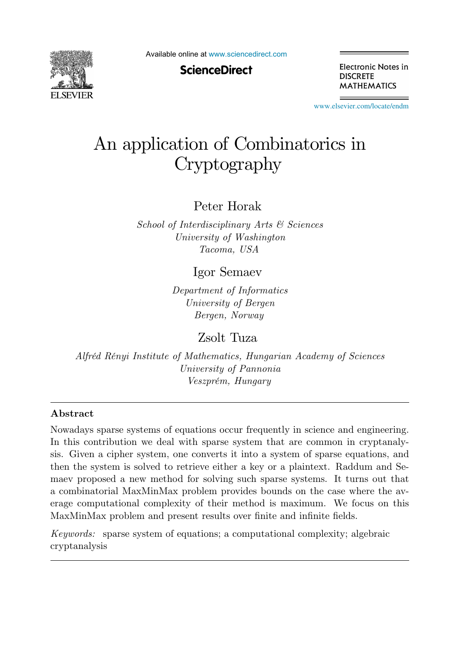

Available online at [www.sciencedirect.com](http://www.sciencedirect.com)

**ScienceDirect** 

Electronic Notes in **DISCRETE MATHEMATICS** 

[www.elsevier.com/locate/endm](http://www.elsevier.com/locate/endm)

## An application of Combinatorics in Cryptography

Peter Horak

School of Interdisciplinary Arts & Sciences University of Washington Tacoma, USA

Igor Semaev

Department of Informatics University of Bergen Bergen, Norway

Zsolt Tuza

Alfréd Rényi Institute of Mathematics, Hungarian Academy of Sciences University of Pannonia Veszprém, Hungary

## Abstract

Nowadays sparse systems of equations occur frequently in science and engineering. In this contribution we deal with sparse system that are common in cryptanalysis. Given a cipher system, one converts it into a system of sparse equations, and then the system is solved to retrieve either a key or a plaintext. Raddum and Semaev proposed a new method for solving such sparse systems. It turns out that a combinatorial MaxMinMax problem provides bounds on the case where the average computational complexity of their method is maximum. We focus on this MaxMinMax problem and present results over finite and infinite fields.

Keywords: sparse system of equations; a computational complexity; algebraic cryptanalysis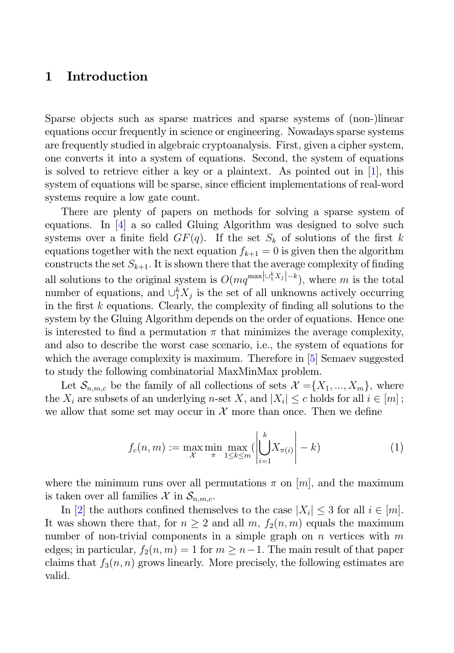## 1 Introduction

Sparse objects such as sparse matrices and sparse systems of (non-)linear equations occur frequently in science or engineering. Nowadays sparse systems are frequently studied in algebraic cryptoanalysis. First, given a cipher system, one converts it into a system of equations. Second, the system of equations is solved to retrieve either a key or a plaintext. As pointed out in  $[1]$ , this system of equations will be sparse, since efficient implementations of real-word systems require a low gate count.

There are plenty of papers on methods for solving a sparse system of equations. In [4] a so called Gluing Algorithm was designed to solve such systems over a finite field  $GF(q)$ . If the set  $S_k$  of solutions of the first k equations together with the next equation  $f_{k+1} = 0$  is given then the algorithm constructs the set  $S_{k+1}$ . It is shown there that the average complexity of finding all solutions to the original system is  $O(mq^{\max|\cup_i^k X_j| - k})$ , where m is the total<br>number of equations, and  $\|\cdot\|^k X$ , is the set of all unknowns actively occurring number of equations, and  $\bigcup_{i=1}^{k} X_j$  is the set of all unknowns actively occurring<br>in the first k countions. Closely, the complexity of finding all solutions to the in the first  $k$  equations. Clearly, the complexity of finding all solutions to the system by the Gluing Algorithm depends on the order of equations. Hence one is interested to find a permutation  $\pi$  that minimizes the average complexity, and also to describe the worst case scenario, i.e., the system of equations for which the average complexity is maximum. Therefore in [5] Semaev suggested to study the following combinatorial MaxMinMax problem.

Let  $\mathcal{S}_{n,m,c}$  be the family of all collections of sets  $\mathcal{X} = \{X_1, ..., X_m\}$ , where the  $X_i$  are subsets of an underlying n-set X, and  $|X_i| \leq c$  holds for all  $i \in [m]$ ; we allow that some set may occur in  $\mathcal X$  more than once. Then we define

$$
f_c(n,m) := \max_{\mathcal{X}} \min_{\pi} \max_{1 \le k \le m} \left( \left| \bigcup_{i=1}^k X_{\pi(i)} \right| - k \right) \tag{1}
$$

where the minimum runs over all permutations  $\pi$  on  $[m]$ , and the maximum is taken over all families  $\mathcal{X}$  in  $\mathcal{S}_{n,m,c}$ .

In [2] the authors confined themselves to the case  $|X_i| \leq 3$  for all  $i \in [m]$ . It was shown there that, for  $n \geq 2$  and all m,  $f_2(n,m)$  equals the maximum number of non-trivial components in a simple graph on n vertices with  $m$ edges; in particular,  $f_2(n, m) = 1$  for  $m \geq n-1$ . The main result of that paper claims that  $f_3(n, n)$  grows linearly. More precisely, the following estimates are valid.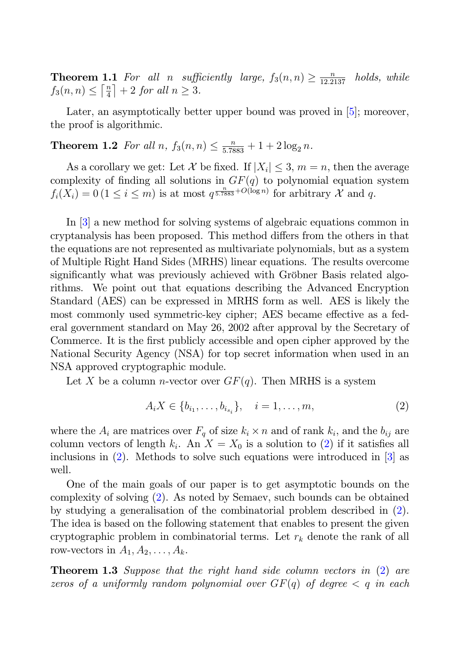**Theorem 1.1** For all n sufficiently large,  $f_3(n,n) \ge \frac{n}{12.2137}$  holds, while  $f_2(n,n) \le \lceil \frac{n}{2} \rceil + 2$  for all  $n > 3$ fTheorem 1.1 For all n sufficially  $S_3(n,n) \leq \lceil \frac{n}{4} \rceil + 2$  for all  $n \geq 3$ .

Later, an asymptotically better upper bound was proved in [5]; moreover, the proof is algorithmic.

**Theorem 1.2** For all  $n, f_3(n,n) \leq \frac{n}{5.7883} + 1 + 2 \log_2 n$ .

As a corollary we get: Let X be fixed. If  $|X_i| \leq 3$ ,  $m = n$ , then the average complexity of finding all solutions in  $GF(q)$  to polynomial equation system  $f_i(X_i) = 0$   $(1 \leq i \leq m)$  is at most  $q^{\frac{n}{5.7883} + O(\log n)}$  for arbitrary  $\mathcal{X}$  and  $q$ .

In [3] a new method for solving systems of algebraic equations common in cryptanalysis has been proposed. This method differs from the others in that the equations are not represented as multivariate polynomials, but as a system of Multiple Right Hand Sides (MRHS) linear equations. The results overcome significantly what was previously achieved with Gröbner Basis related algorithms. We point out that equations describing the Advanced Encryption Standard (AES) can be expressed in MRHS form as well. AES is likely the most commonly used symmetric-key cipher; AES became effective as a federal government standard on May 26, 2002 after approval by the Secretary of Commerce. It is the first publicly accessible and open cipher approved by the National Security Agency (NSA) for top secret information when used in an NSA approved cryptographic module.

Let X be a column *n*-vector over  $GF(q)$ . Then MRHS is a system

$$
A_i X \in \{b_{i_1}, \dots, b_{i_{s_i}}\}, \quad i = 1, \dots, m,
$$
\n(2)

where the  $A_i$  are matrices over  $F_q$  of size  $k_i \times n$  and of rank  $k_i$ , and the  $b_{ij}$  are column vectors of length  $k_i$ . An  $X = X_0$  is a solution to (2) if it satisfies all inclusions in  $(2)$ . Methods to solve such equations were introduced in  $[3]$  as well.

One of the main goals of our paper is to get asymptotic bounds on the complexity of solving (2). As noted by Semaev, such bounds can be obtained by studying a generalisation of the combinatorial problem described in (2). The idea is based on the following statement that enables to present the given cryptographic problem in combinatorial terms. Let  $r_k$  denote the rank of all row-vectors in  $A_1, A_2, \ldots, A_k$ .

**Theorem 1.3** Suppose that the right hand side column vectors in (2) are zeros of a uniformly random polynomial over  $GF(q)$  of degree  $\lt q$  in each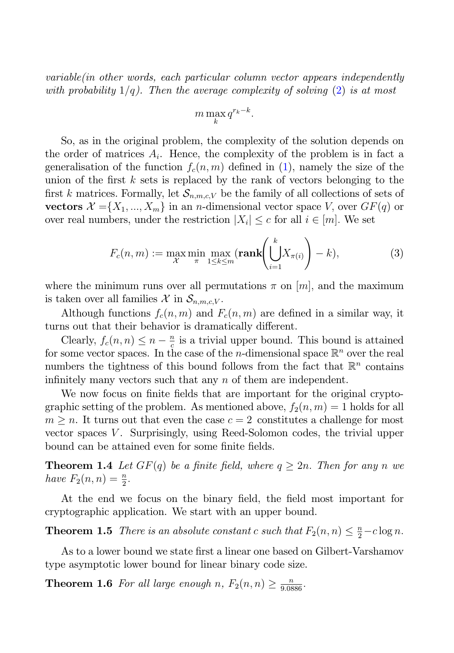variable(in other words, each particular column vector appears independently with probability  $1/q$ ). Then the average complexity of solving  $(2)$  is at most

$$
m\max_{k} q^{r_k - k}.
$$

So, as in the original problem, the complexity of the solution depends on the order of matrices  $A_i$ . Hence, the complexity of the problem is in fact a generalisation of the function  $f_c(n, m)$  defined in (1), namely the size of the union of the first  $k$  sets is replaced by the rank of vectors belonging to the first k matrices. Formally, let  $\mathcal{S}_{n,m,c,V}$  be the family of all collections of sets of vectors  $\mathcal{X} = \{X_1, ..., X_m\}$  in an *n*-dimensional vector space V, over  $GF(q)$  or over real numbers, under the restriction  $|X_i| \leq c$  for all  $i \in [m]$ . We set

$$
F_c(n,m) := \max_{\mathcal{X}} \min_{\pi} \max_{1 \le k \le m} (\textbf{rank} \left( \bigcup_{i=1}^k X_{\pi(i)} \right) - k), \tag{3}
$$

where the minimum runs over all permutations  $\pi$  on  $[m]$ , and the maximum is taken over all families  $\mathcal{X}$  in  $\mathcal{S}_{n,m,c,V}$ .

Although functions  $f_c(n, m)$  and  $F_c(n, m)$  are defined in a similar way, it turns out that their behavior is dramatically different.

Clearly,  $f_c(n, n) \leq n - \frac{n}{c}$  is a trivial upper bound. This bound is attained<br>some vector spaces. In the case of the *n*-dimensional space  $\mathbb{R}^n$  over the real for some vector spaces. In the case of the *n*-dimensional space  $\mathbb{R}^n$  over the real numbers the tightness of this bound follows from the fact that  $\mathbb{R}^n$  contains infinitely many vectors such that any n of them are independent.

We now focus on finite fields that are important for the original cryptographic setting of the problem. As mentioned above,  $f_2(n, m)=1$  holds for all  $m > n$ . It turns out that even the case  $c = 2$  constitutes a challenge for most vector spaces  $V$ . Surprisingly, using Reed-Solomon codes, the trivial upper bound can be attained even for some finite fields.

**Theorem 1.4** Let  $GF(q)$  be a finite field, where  $q \geq 2n$ . Then for any n we have  $F_2(n,n) = \frac{n}{2}$ .

At the end we focus on the binary field, the field most important for cryptographic application. We start with an upper bound.

**Theorem 1.5** There is an absolute constant c such that  $F_2(n,n) \leq \frac{n}{2} - c \log n$ .

As to a lower bound we state first a linear one based on Gilbert-Varshamov type asymptotic lower bound for linear binary code size.

**Theorem 1.6** For all large enough n,  $F_2(n,n) \ge \frac{n}{9.0886}$ .